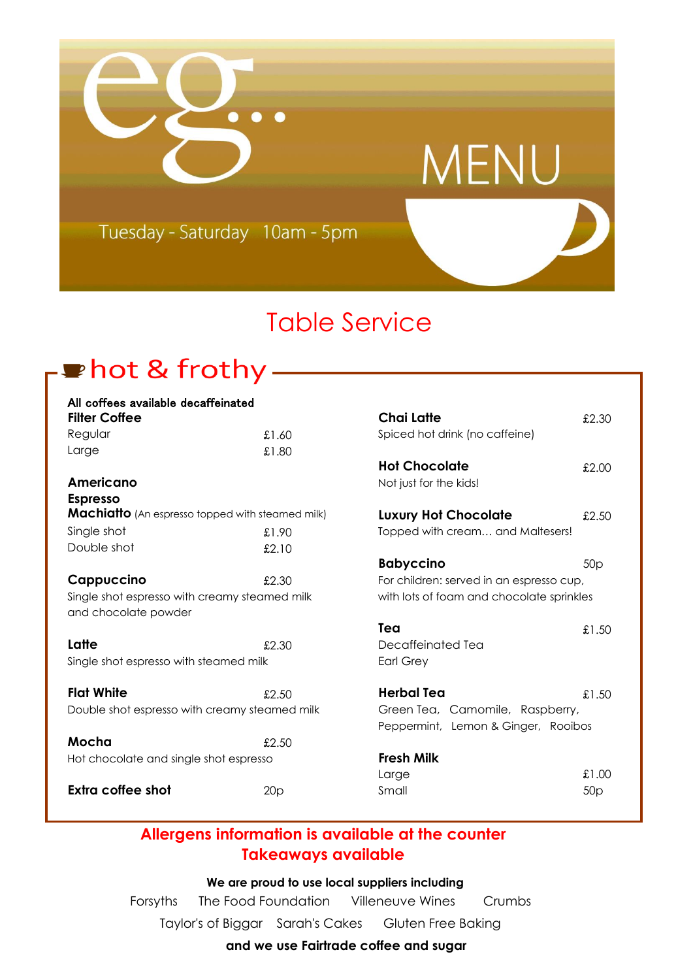

## Table Service

**Tea** £1.50

Large £1.00

## thot & frothy —

| All coffees available decaffeinated                     |       |                                           |                 |
|---------------------------------------------------------|-------|-------------------------------------------|-----------------|
| <b>Filter Coffee</b>                                    |       | <b>Chai Latte</b>                         | £2.30           |
| Regular                                                 | £1.60 | Spiced hot drink (no caffeine)            |                 |
| Large                                                   | £1.80 |                                           |                 |
|                                                         |       | <b>Hot Chocolate</b>                      | £2.00           |
| Americano                                               |       | Not just for the kids!                    |                 |
| <b>Espresso</b>                                         |       |                                           |                 |
| <b>Machiatto</b> (An espresso topped with steamed milk) |       | <b>Luxury Hot Chocolate</b>               | £2.50           |
| Single shot                                             | £1.90 | Topped with cream and Maltesers!          |                 |
| Double shot                                             | £2.10 |                                           |                 |
|                                                         |       | <b>Babyccino</b>                          | 50 <sub>p</sub> |
| Cappuccino                                              | £2.30 | For children: served in an espresso cup,  |                 |
| Single shot espresso with creamy steamed milk           |       | with lots of foam and chocolate sprinkles |                 |
| and chocolate powder                                    |       |                                           |                 |
|                                                         |       | Tea                                       | £1.5C           |
| Latte                                                   | £2.30 | Decaffeinated Tea                         |                 |
| Single shot espresso with steamed milk                  |       | <b>Earl Grey</b>                          |                 |
| <b>Flat White</b>                                       | £2.50 | <b>Herbal Tea</b>                         | £1.5C           |
| Double shot espresso with creamy steamed milk           |       | Green Tea, Camomile, Raspberry,           |                 |
|                                                         |       | Peppermint, Lemon & Ginger, Rooibos       |                 |
| Mocha                                                   | £2.50 |                                           |                 |
| Hot chocolate and single shot espresso                  |       | <b>Fresh Milk</b>                         |                 |
|                                                         |       | Large                                     | £1.0C           |
| <b>Extra coffee shot</b>                                | 20p   | Small                                     | 50p             |
|                                                         |       |                                           |                 |

### **Allergens information is available at the counter Takeaways available**

 **We are proud to use local suppliers including** Forsyths The Food Foundation Villeneuve Wines Crumbs Taylor's of Biggar Sarah's Cakes Gluten Free Baking

### **and we use Fairtrade coffee and sugar**